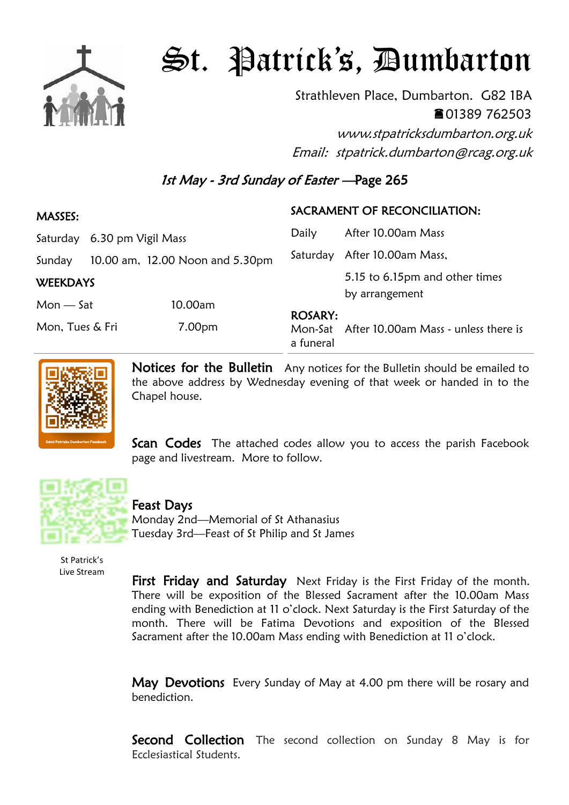

## St. Patrick's, Dumbarton

Strathleven Place, Dumbarton. G82 1BA 01389 762503

www.stpatricksdumbarton.org.uk Email: stpatrick.dumbarton@rcag.org.uk

## 1st May - 3rd Sunday of Easter —Page 265

## MASSES: Saturday 6.30 pm Vigil Mass Sunday 10.00 am, 12.00 Noon and 5.30pm **WEEKDAYS** Mon — Sat 10.00am Mon, Tues & Fri 7.00pm SACRAMENT OF RECONCILIATION: Daily After 10.00am Mass Saturday After 10.00am Mass, 5.15 to 6.15pm and other times by arrangement ROSARY: Mon-Sat After 10.00am Mass - unless there is a funeral



Notices for the Bulletin Any notices for the Bulletin should be emailed to the above address by Wednesday evening of that week or handed in to the Chapel house.

**Scan Codes** The attached codes allow you to access the parish Facebook page and livestream. More to follow.



## Feast Days

Monday 2nd—Memorial of St Athanasius Tuesday 3rd—Feast of St Philip and St James

St Patrick's Live Stream

First Friday and Saturday Next Friday is the First Friday of the month. There will be exposition of the Blessed Sacrament after the 10.00am Mass ending with Benediction at 11 o'clock. Next Saturday is the First Saturday of the month. There will be Fatima Devotions and exposition of the Blessed Sacrament after the 10.00am Mass ending with Benediction at 11 o'clock.

May Devotions Every Sunday of May at 4.00 pm there will be rosary and benediction.

**Second Collection** The second collection on Sunday 8 May is for Ecclesiastical Students.